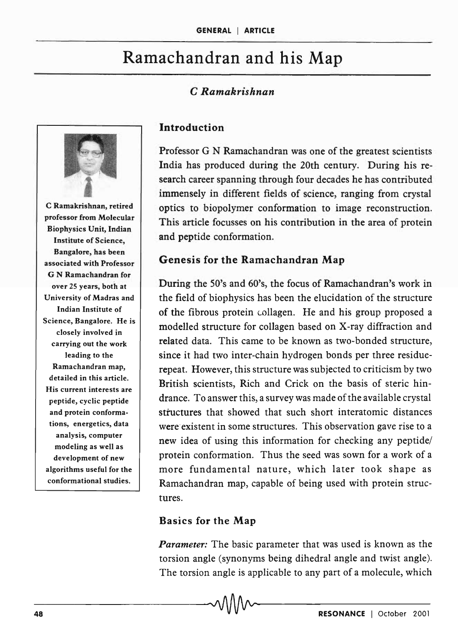# Ramachandran and his Map

#### C *Ramakrishnan*



C Ramakrishnan, retired professor from Molecular Biophysics Unit, Indian Institute of Science, Bangalore, has been associated with Professor G N Ramachandran for over 25 years, both at University of Madras and Indian Institute of Science, Bangalore. He is closely involved in carrying out the work leading to the Ramachandran map, detailed in this article. His current interests are peptide, cyclic peptide and protein conformations, energetics, data analysis, computer modeling as well as development of new algorithms useful for the conformational studies.

#### Introduction

Professor G N Ramachandran was one of the greatest scientists India has produced during the 20th century. During his research career spanning through four decades he has contributed immensely in different fields of science, ranging from crystal optics to biopolymer conformation to image reconstruction. This article focusses on his contribution in the area of protein and peptide conformation.

#### Genesis for the Ramachandran Map

During the 50's and 60's, the focus of Ramachandran's work in the field of biophysics has been the elucidation of the structure of the fibrous protein collagen. He and his group proposed a modelled structure for collagen based on X-ray diffraction and related data. This came to be known as two-bonded structure, since it had two inter-chain hydrogen bonds per three residuerepeat. However, this structure was subjected to criticism by two British scientists, Rich and Crick on the basis of steric hindrance. To answer this, a survey was made of the available crystal structures that showed that such short interatomic distances were existent in some structures. This observation gave rise to a new idea of using this information for checking any peptide/ protein conformation. Thus the seed was sown for a work of a more fundamental nature, which later took shape as Ramachandran map, capable of being used with protein structures.

#### Basics for the Map

*Parameter:* The basic parameter that was used is known as the torsion angle (synonyms being dihedral angle and twist angle). The torsion angle is applicable to any part of a molecule, which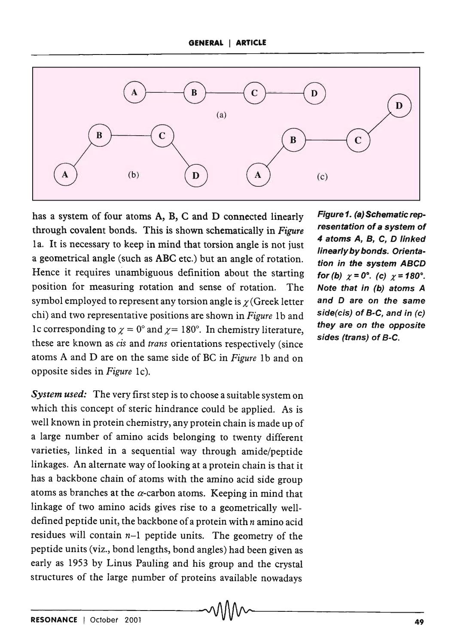

has a system of four atoms A, B, C and D connected linearly through covalent bonds. This is shown schematically in *Figure*  1a. It is necessary to keep in mind that torsion angle is not just a geometrical angle (such as ABC etc.) but an angle of rotation. Hence it requires unambiguous definition about the starting position for measuring rotation and sense of rotation. The symbol employed to represent any torsion angle is  $\chi$  (Greek letter chi) and two representative positions are shown in *Figure* 1b and lc corresponding to  $\chi = 0^\circ$  and  $\chi = 180^\circ$ . In chemistry literature, these are known as cis and *trans* orientations respectively (since atoms A and D are on the same side of BC in *Figure* 1b and on opposite sides in *Figure* Ic).

*System used:* The very first step is to choose a suitable system on which this concept of steric hindrance could be applied. As is well known in protein chemistry, any protein chain is made up of a large number of amino acids belonging to twenty different varieties, linked in a sequential way through amide/peptide linkages. An alternate way of looking at a protein chain is that it has a backbone chain of atoms with the amino acid side group atoms as branches at the  $\alpha$ -carbon atoms. Keeping in mind that linkage of two amino acids gives rise to a geometrically welldefined peptide unit, the backbone of a protein with  $n$  amino acid residues will contain *n-1* peptide units. The geometry of the peptide units (viz., bond lengths, bond angles) had been given as early as 1953 by Linus Pauling and his group and the crystal structures of the large pumber of proteins available nowadays

Figure 1. (a) Schematic representation of a system of 4 atoms A, B, C, D linked linearly by bonds. Orientation in the system ABCD for (b)  $\chi = 0^{\circ}$ . (c)  $\chi = 180^{\circ}$ . Note that in (b) atoms A and D are on the same side(cis) of B·C, and in (e) they are on the opposite sides (trans) of B-C.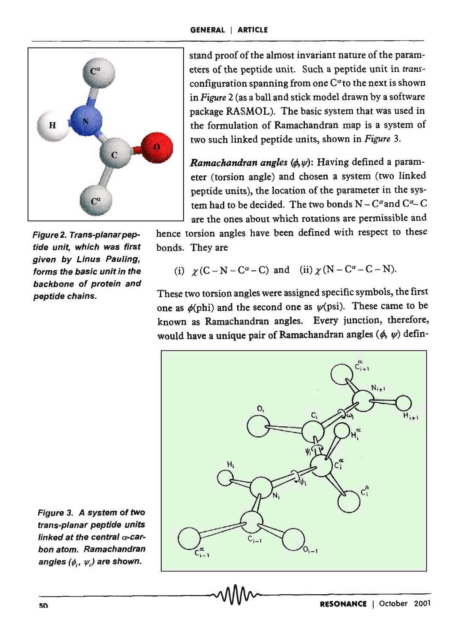

Figure 2. Trans-planar peptide unit, which was first given by Linus Pauling, forms the basic unit in the backbone of protein and peptide chains.

stand proof of the almost invariant nature of the parameters of the peptide unit. Such a peptide unit in *trans*configuration spanning from one  $C^{\alpha}$  to the next is shown in *Figure* 2 (as a ball and stick model drawn by a software package RASMOL). The basic system that was used in the formulation of Ramachandran map is a system of two such linked peptide units, shown in *Figure 3.* 

*Ramachandran angles (ø, w)*: Having defined a parameter (torsion angle) and chosen a system (two linked peptide units), the location of the parameter in the system had to be decided. The two bonds  $N - C^{\alpha}$  and  $C^{\alpha} - C$ are the ones about which rotations are permissible and

hence torsion angles have been defined with respect to these bonds. They are

(i) 
$$
\chi
$$
 (C-N-C <sup>$\alpha$</sup> -C) and (ii)  $\chi$  (N-C <sup>$\alpha$</sup> -C-N).

These two torsion angles were assigned specific symbols, the first one as  $\phi$ (phi) and the second one as  $\psi$ (psi). These came to be known as Ramachandran angles. Every junction, therefore, would have a unique pair of Ramachandran angles  $(\phi, \psi)$  defin-



Figure 3. A system of two frans-planar peptide units linked at the central  $\alpha$ -carbon atom. Ramachandran angles  $(\phi_i, \psi_i)$  are shown.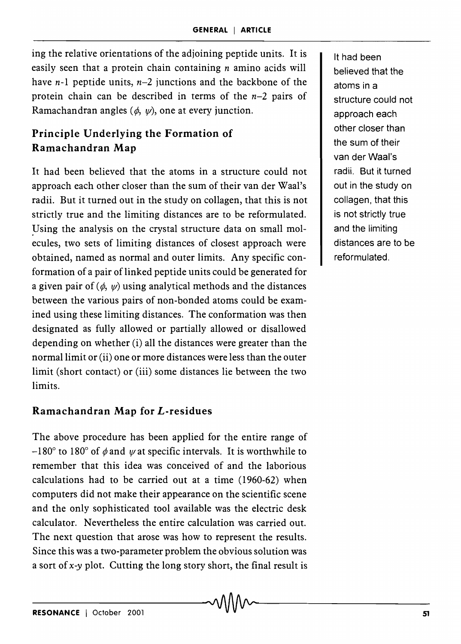ing the relative orientations of the adjoining peptide units. It is easily seen that a protein chain containing  $n$  amino acids will have *n-l* peptide units, *n-2* junctions and the backbone of the protein chain can be described in terms of the *n-Z* pairs of Ramachandran angles  $(\phi, \psi)$ , one at every junction.

# **Principle Underlying the Formation of Ramachandran Map**

It had been believed that the atoms in a structure could not approach each other closer than the sum of their van der Waal's radii. But it turned out in the study on collagen, that this is not strictly true and the limiting distances are to be reformulated. Using the analysis on the crystal structure data on small molecules, two sets of limiting distances of closest approach were obtained, named as normal and outer limits. Any specific conformation of a pair of linked peptide units could be generated for a given pair of  $(\phi, \psi)$  using analytical methods and the distances between the various pairs of non-bonded atoms could be examined using these limiting distances. The conformation was then designated as fully allowed or partially allowed or disallowed depending on whether (i) all the distances were greater than the normal limit or (ii) one or more distances were less than the outer limit (short contact) or (iii) some distances lie between the two limits.

## **Ramachandran Map for L-residues**

The above procedure has been applied for the entire range of  $-180^{\circ}$  to 180° of  $\phi$  and  $\psi$  at specific intervals. It is worthwhile to remember that this idea was conceived of and the laborious calculations had to be carried out at a time (1960-6Z) when computers did not make their appearance on the scientific scene and the only sophisticated tool available was the electric desk calculator. Nevertheless the entire calculation was carried out. The next question that arose was how to represent the results. Since this was a two-parameter problem the obvious solution was a sort of *x-y* plot. Cutting the long story short, the final result is

It had been believed that the atoms in a structure could not approach each other closer than the sum of their van der Waal's radii. But it turned out in the study on collagen, that this is not strictly true and the limiting distances are to be reformulated.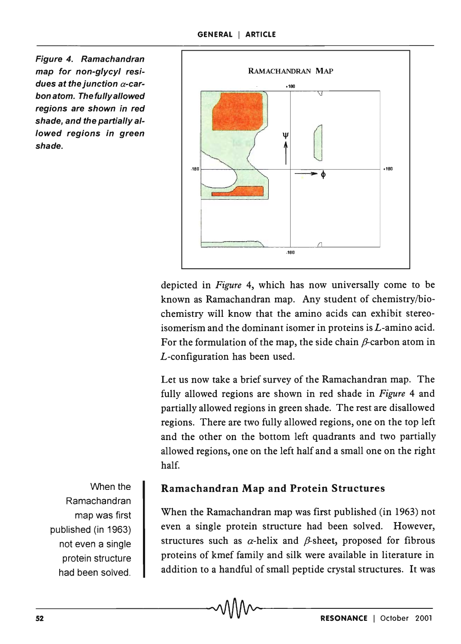Figure 4. Ramachandran map for non-glycyl residues at the junction  $\alpha$ -carbon atom. The fully allowed regions are shown in red shade, and the partially allowed regions in green shade.



depicted in *Figure* 4, which has now universally come to be known as Ramachandran map. Any student of chemistry/biochemistry will know that the amino acids can exhibit stereoisomerism and the dominant isomer in proteins is L-amino acid. For the formulation of the map, the side chain  $\beta$ -carbon atom in L-configuration has been used.

Let us now take a brief survey of the Ramachandran map. The fully allowed regions are shown in red shade in *Figure* 4 and partially allowed regions in green shade. The rest are disallowed regions. There are two fully allowed regions, one on the top left and the other on the bottom left quadrants and two partially allowed regions, one on the left half and a small one on the right half.

When the Ramachandran map was first published (in 1963) not even a single protein structure had been solved.

#### Ramachandran Map and Protein Structures

When the Ramachandran map was first published (in 1963) not even a single protein structure had been solved. However, structures such as  $\alpha$ -helix and  $\beta$ -sheet, proposed for fibrous proteins of kmef family and silk were available in literature in addition to a handful of small peptide crystal structures. It was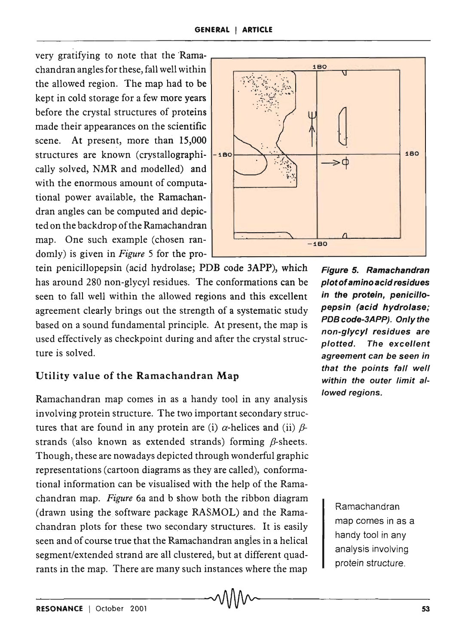very gratifying to note that the Ramachandran angles for these, fall well within the allowed region. The map had to be kept in cold storage for a few more years before the crystal structures of proteins made their appearances on the scientific scene. At present, more than 15,000 cally solved, NMR and modelled) and with the enormous amount of computational power available, the Ramachandran angles can be computed and depicted on the backdrop of the Ramachandran map. One such example (chosen ran-  $\begin{array}{|c|c|c|c|c|c|c|c|}\n\hline\n\text{180} & -\text{180} \\
\hline\n\end{array}$ domly) is given in *Figure* 5 for the pro-

tein penicillopepsin (acid hydrolase; PDB code 3APP), which has around 280 non-glycyl residues. The conformations can be seen to fall well within the allowed regions and this excellent agreement clearly brings out the strength of a systematic study based on a sound fundamental principle. At present, the map is used effectively as checkpoint during and after the crystal structure is solved.

## Utility value of the Ramachandran Map

Ramachandran map comes in as a handy tool in any analysis involving protein structure. The two important secondary structures that are found in any protein are (i)  $\alpha$ -helices and (ii)  $\beta$ strands (also known as extended strands) forming  $\beta$ -sheets. Though, these are nowadays depicted through wonderful graphic representations (cartoon diagrams as they are called), conformational information can be visualised with the help of the Ramachandran map. *Figure* 6a and b show both the ribbon diagram (drawn using the software package RASMOL) and the Ramachandran plots for these two secondary structures. It is easily seen and of course true that the Ramachandran angies in a helical segment/extended strand are all clustered, but at different quadrants in the map. There are many such instances where the map



Figure 5. Ramachandran plot of amino acid residues in the protein, penicillopepsin (acid hydrolase; PDB code-3APP). Only the non-glycy/ residues are plotted. The excellent agreement can be seen in that the points fall well within the outer limit allowed regions.

> Ramachandran map comes in as a handy tool in any analysis involving protein structure.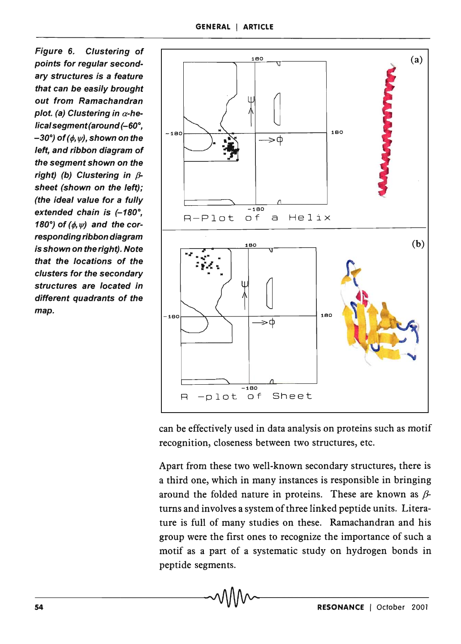Figure 6. Clustering of points for regular secondary structures is a feature that can be easily brought out from Ramachandran plot. (a) Clustering in  $\alpha$ -helical segment (around  $(-60^\circ,$  $-30^{\circ}$ ) of ( $\phi$ ,  $\psi$ ), shown on the left, and ribbon diagram of the segment shown on the right) (b) Clustering in  $\beta$ sheet (shown on the left); (the ideal value for a fully extended chain is  $(-180^\circ,$ 180°) of  $(\phi, \psi)$  and the corresponding ribbon diagram is shown on the right). Note that the locations of the clusters for the secondary structures are located in different quadrants of the map.



can be effectively used in data analysis on proteins such as motif recognition, closeness between two structures, etc.

Apart from these two well-known secondary structures, there is a third one, which in many instances is responsible in bringing around the folded nature in proteins. These are known as  $\beta$ turns and involves a system of three linked peptide units. Literature is full of many studies on these. Ramachandran and his group were the first ones to recognize the importance of such a motif as a part of a systematic study on hydrogen bonds in peptide segments.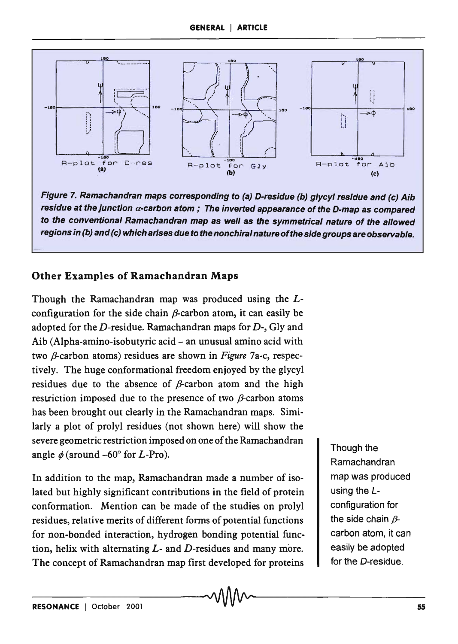

Figure 7. Ramachandran maps corresponding to (a) D-residue (b) glycyl residue and (c) Aib residue at the junction  $\alpha$ -carbon atom; The inverted appearance of the D-map as compared to the conventional Ramachandran map as well as the symmetrical nature of the allowed regions in (b) and (c) which arises due to the nonchiral nature of the side groups are observable.

### Other Examples of Ramachandran Maps

Though the Ramachandran map was produced using the *L*configuration for the side chain  $\beta$ -carbon atom, it can easily be adopted for the D-residue. Ramachandran maps for D-, Gly and Aib (Alpha-amino-isobutyric acid - an unusual amino acid with two *β*-carbon atoms) residues are shown in *Figure* 7a-c, respectively. The huge conformational freedom enjoyed by the glycyl residues due to the absence of  $\beta$ -carbon atom and the high restriction imposed due to the presence of two  $\beta$ -carbon atoms has been brought out clearly in the Ramachandran maps. Similarly a plot of prolyl residues (not shown here) will show the severe geometric restriction imposed on one of the Ramachandran angle  $\phi$  (around  $-60^{\circ}$  for *L*-Pro).

In addition to the map, Ramachandran made a number of isolated but highly significant contributions in the field of protein conformation. Mention can be made of the studies on prolyl residues, relative merits of different forms of potential functions for non-bonded interaction, hydrogen bonding potential function, helix with alternating *L-* and D-residues and many more. The concept of Ramachandran map first developed for proteins

Though the **Ramachandran** map was produced using the Lconfiguration for the side chain  $\beta$ carbon atom, it can easily be adopted for the D-residue.